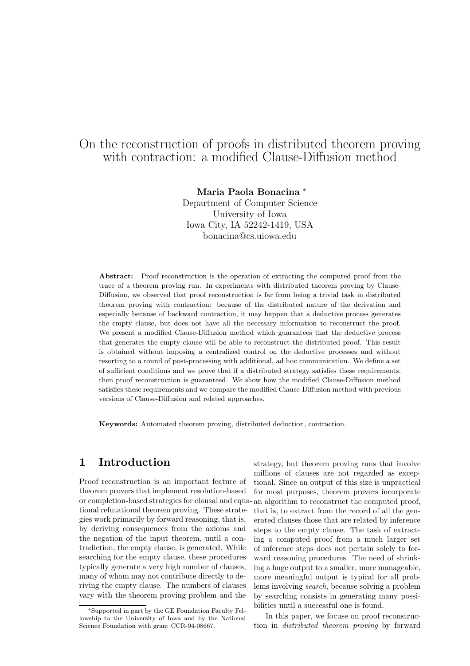# On the reconstruction of proofs in distributed theorem proving with contraction: a modified Clause-Diffusion method

Maria Paola Bonacina <sup>∗</sup> Department of Computer Science University of Iowa Iowa City, IA 52242-1419, USA bonacina@cs.uiowa.edu

Abstract: Proof reconstruction is the operation of extracting the computed proof from the trace of a theorem proving run. In experiments with distributed theorem proving by Clause-Diffusion, we observed that proof reconstruction is far from being a trivial task in distributed theorem proving with contraction: because of the distributed nature of the derivation and especially because of backward contraction, it may happen that a deductive process generates the empty clause, but does not have all the necessary information to reconstruct the proof. We present a modified Clause-Diffusion method which guarantees that the deductive process that generates the empty clause will be able to reconstruct the distributed proof. This result is obtained without imposing a centralized control on the deductive processes and without resorting to a round of post-processing with additional, ad hoc communication. We define a set of sufficient conditions and we prove that if a distributed strategy satisfies these requirements, then proof reconstruction is guaranteed. We show how the modified Clause-Diffusion method satisfies these requirements and we compare the modified Clause-Diffusion method with previous versions of Clause-Diffusion and related approaches.

Keywords: Automated theorem proving, distributed deduction, contraction.

# 1 Introduction

Proof reconstruction is an important feature of theorem provers that implement resolution-based or completion-based strategies for clausal and equa-an algorithm to reconstruct the computed proof, tional refutational theorem proving. These strategies work primarily by forward reasoning, that is, by deriving consequences from the axioms and the negation of the input theorem, until a contradiction, the empty clause, is generated. While searching for the empty clause, these procedures typically generate a very high number of clauses, many of whom may not contribute directly to deriving the empty clause. The numbers of clauses vary with the theorem proving problem and the

strategy, but theorem proving runs that involve millions of clauses are not regarded as exceptional. Since an output of this size is unpractical for most purposes, theorem provers incorporate that is, to extract from the record of all the generated clauses those that are related by inference steps to the empty clause. The task of extracting a computed proof from a much larger set of inference steps does not pertain solely to forward reasoning procedures. The need of shrinking a huge output to a smaller, more manageable, more meaningful output is typical for all problems involving search, because solving a problem by searching consists in generating many possibilities until a successful one is found.

In this paper, we focuse on proof reconstruction in distributed theorem proving by forward

<sup>∗</sup>Supported in part by the GE Foundation Faculty Fellowship to the University of Iowa and by the National Science Foundation with grant CCR-94-08667.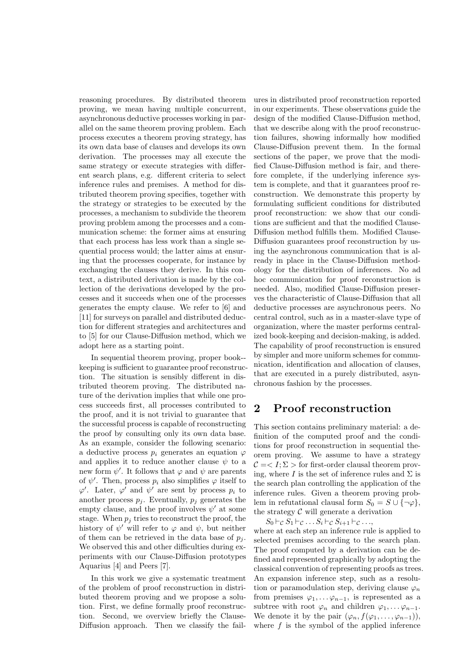reasoning procedures. By distributed theorem proving, we mean having multiple concurrent, asynchronous deductive processes working in parallel on the same theorem proving problem. Each process executes a theorem proving strategy, has its own data base of clauses and develops its own derivation. The processes may all execute the same strategy or execute strategies with different search plans, e.g. different criteria to select inference rules and premises. A method for distributed theorem proving specifies, together with the strategy or strategies to be executed by the processes, a mechanism to subdivide the theorem proving problem among the processes and a communication scheme: the former aims at ensuring that each process has less work than a single sequential process would; the latter aims at ensuring that the processes cooperate, for instance by exchanging the clauses they derive. In this context, a distributed derivation is made by the collection of the derivations developed by the processes and it succeeds when one of the processes generates the empty clause. We refer to [6] and [11] for surveys on parallel and distributed deduction for different strategies and architectures and to [5] for our Clause-Diffusion method, which we adopt here as a starting point.

In sequential theorem proving, proper book- keeping is sufficient to guarantee proof reconstruction. The situation is sensibly different in distributed theorem proving. The distributed nature of the derivation implies that while one process succeeds first, all processes contributed to the proof, and it is not trivial to guarantee that the successful process is capable of reconstructing the proof by consulting only its own data base. As an example, consider the following scenario: a deductive process  $p_i$  generates an equation  $\varphi$ and applies it to reduce another clause  $\psi$  to a new form  $\psi'$ . It follows that  $\varphi$  and  $\psi$  are parents of  $\psi'$ . Then, process  $p_i$  also simplifies  $\varphi$  itself to  $\varphi'$ . Later,  $\varphi'$  and  $\psi'$  are sent by process  $p_i$  to another process  $p_i$ . Eventually,  $p_i$  generates the empty clause, and the proof involves  $\psi'$  at some stage. When  $p_i$  tries to reconstruct the proof, the history of  $\psi'$  will refer to  $\varphi$  and  $\psi$ , but neither of them can be retrieved in the data base of  $p_i$ . We observed this and other difficulties during experiments with our Clause-Diffusion prototypes Aquarius [4] and Peers [7].

In this work we give a systematic treatment of the problem of proof reconstruction in distributed theorem proving and we propose a solution. First, we define formally proof reconstruction. Second, we overview briefly the Clause-Diffusion approach. Then we classify the fail-

ures in distributed proof reconstruction reported in our experiments. These observations guide the design of the modified Clause-Diffusion method, that we describe along with the proof reconstruction failures, showing informally how modified Clause-Diffusion prevent them. In the formal sections of the paper, we prove that the modified Clause-Diffusion method is fair, and therefore complete, if the underlying inference system is complete, and that it guarantees proof reconstruction. We demonstrate this property by formulating sufficient conditions for distributed proof reconstruction: we show that our conditions are sufficient and that the modified Clause-Diffusion method fulfills them. Modified Clause-Diffusion guarantees proof reconstruction by using the asynchronous communication that is already in place in the Clause-Diffusion methodology for the distribution of inferences. No ad hoc communication for proof reconstruction is needed. Also, modified Clause-Diffusion preserves the characteristic of Clause-Diffusion that all deductive processes are asynchronous peers. No central control, such as in a master-slave type of organization, where the master performs centralized book-keeping and decision-making, is added. The capability of proof reconstruction is ensured by simpler and more uniform schemes for communication, identification and allocation of clauses, that are executed in a purely distributed, asynchronous fashion by the processes.

## 2 Proof reconstruction

This section contains preliminary material: a definition of the computed proof and the conditions for proof reconstruction in sequential theorem proving. We assume to have a strategy  $\mathcal{C} = \langle I; \Sigma \rangle$  for first-order clausal theorem proving, where I is the set of inference rules and  $\Sigma$  is the search plan controlling the application of the inference rules. Given a theorem proving problem in refutational clausal form  $S_0 = S \cup \{\neg \varphi\},\$ the strategy  $\mathcal C$  will generate a derivation

 $S_0 \vdash_{\mathcal{C}} S_1 \vdash_{\mathcal{C}} \ldots S_i \vdash_{\mathcal{C}} S_{i+1} \vdash_{\mathcal{C}} \ldots$ 

where at each step an inference rule is applied to selected premises according to the search plan. The proof computed by a derivation can be defined and represented graphically by adopting the classical convention of representing proofs as trees. An expansion inference step, such as a resolution or paramodulation step, deriving clause  $\varphi_n$ from premises  $\varphi_1, \ldots, \varphi_{n-1}$ , is represented as a subtree with root  $\varphi_n$  and children  $\varphi_1, \ldots, \varphi_{n-1}$ . We denote it by the pair  $(\varphi_n, f(\varphi_1, \ldots, \varphi_{n-1}))$ , where  $f$  is the symbol of the applied inference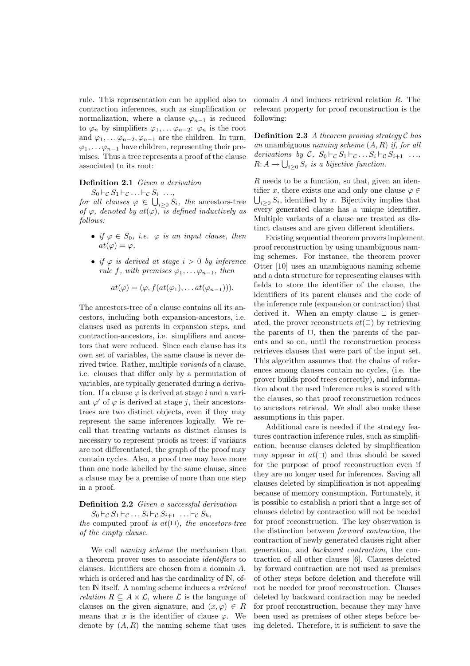rule. This representation can be applied also to contraction inferences, such as simplification or normalization, where a clause  $\varphi_{n-1}$  is reduced to  $\varphi_n$  by simplifiers  $\varphi_1, \ldots, \varphi_{n-2}$ :  $\varphi_n$  is the root and  $\varphi_1, \ldots, \varphi_{n-2}, \varphi_{n-1}$  are the children. In turn,  $\varphi_1, \ldots, \varphi_{n-1}$  have children, representing their premises. Thus a tree represents a proof of the clause associated to its root:

#### Definition 2.1 Given a derivation

 $S_0\vdash_{\mathcal{C}} S_1\vdash_{\mathcal{C}}\ldots\vdash_{\mathcal{C}} S_i\ldots,$ 

for all clauses  $\varphi \in \bigcup_{i \geq 0} S_i$ , the ancestors-tree of  $\varphi$ , denoted by  $at(\varphi)$ , is defined inductively as follows:

- if  $\varphi \in S_0$ , i.e.  $\varphi$  is an input clause, then  $at(\varphi)=\varphi,$
- if  $\varphi$  is derived at stage  $i > 0$  by inference rule f, with premises  $\varphi_1, \ldots, \varphi_{n-1}$ , then

$$
at(\varphi)=(\varphi, f(at(\varphi_1),\ldots at(\varphi_{n-1}))).
$$

The ancestors-tree of a clause contains all its ancestors, including both expansion-ancestors, i.e. clauses used as parents in expansion steps, and contraction-ancestors, i.e. simplifiers and ancestors that were reduced. Since each clause has its own set of variables, the same clause is never derived twice. Rather, multiple variants of a clause, i.e. clauses that differ only by a permutation of variables, are typically generated during a derivation. If a clause  $\varphi$  is derived at stage i and a variant  $\varphi'$  of  $\varphi$  is derived at stage j, their ancestorstrees are two distinct objects, even if they may represent the same inferences logically. We recall that treating variants as distinct clauses is necessary to represent proofs as trees: if variants are not differentiated, the graph of the proof may contain cycles. Also, a proof tree may have more than one node labelled by the same clause, since a clause may be a premise of more than one step in a proof.

Definition 2.2 Given a successful derivation

 $S_0 \vdash_{\mathcal{C}} S_1 \vdash_{\mathcal{C}} \ldots S_i \vdash_{\mathcal{C}} S_{i+1} \ldots \vdash_{\mathcal{C}} S_h,$ the computed proof is  $at(\Box)$ , the ancestors-tree of the empty clause.

We call naming scheme the mechanism that a theorem prover uses to associate identifiers to clauses. Identifiers are chosen from a domain A, which is ordered and has the cardinality of  $\mathbb{N}$ , often IN itself. A naming scheme induces a retrieval *relation*  $R \subseteq A \times \mathcal{L}$ , where  $\mathcal{L}$  is the language of clauses on the given signature, and  $(x, \varphi) \in R$ means that x is the identifier of clause  $\varphi$ . We denote by  $(A, R)$  the naming scheme that uses

domain A and induces retrieval relation R. The relevant property for proof reconstruction is the following:

**Definition 2.3** A theorem proving strategy  $\mathcal{C}$  has an unambiguous naming scheme  $(A, R)$  if, for all derivations by C,  $S_0 \vdash_{\mathcal{C}} S_1 \vdash_{\mathcal{C}} \ldots S_i \vdash_{\mathcal{C}} S_{i+1} \ldots$  $R: A \to \bigcup_{i \geq 0} S_i$  is a bijective function.

 $R$  needs to be a function, so that, given an identifier x, there exists one and only one clause  $\varphi \in$  $\bigcup_{i\geq 0} S_i$ , identified by x. Bijectivity implies that every generated clause has a unique identifier. Multiple variants of a clause are treated as distinct clauses and are given different identifiers.

Existing sequential theorem provers implement proof reconstruction by using unambiguous naming schemes. For instance, the theorem prover Otter [10] uses an unambiguous naming scheme and a data structure for representing clauses with fields to store the identifier of the clause, the identifiers of its parent clauses and the code of the inference rule (expansion or contraction) that derived it. When an empty clause  $\Box$  is generated, the prover reconstructs  $at(\square)$  by retrieving the parents of  $\Box$ , then the parents of the parents and so on, until the reconstruction process retrieves clauses that were part of the input set. This algorithm assumes that the chains of references among clauses contain no cycles, (i.e. the prover builds proof trees correctly), and information about the used inference rules is stored with the clauses, so that proof reconstruction reduces to ancestors retrieval. We shall also make these assumptions in this paper.

Additional care is needed if the strategy features contraction inference rules, such as simplification, because clauses deleted by simplification may appear in  $at(\square)$  and thus should be saved for the purpose of proof reconstruction even if they are no longer used for inferences. Saving all clauses deleted by simplification is not appealing because of memory consumption. Fortunately, it is possible to establish a priori that a large set of clauses deleted by contraction will not be needed for proof reconstruction. The key observation is the distinction between forward contraction, the contraction of newly generated clauses right after generation, and backward contraction, the contraction of all other clauses [6]. Clauses deleted by forward contraction are not used as premises of other steps before deletion and therefore will not be needed for proof reconstruction. Clauses deleted by backward contraction may be needed for proof reconstruction, because they may have been used as premises of other steps before being deleted. Therefore, it is sufficient to save the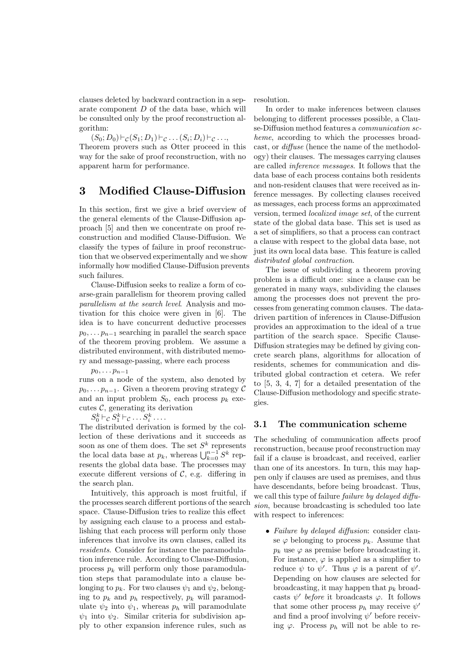clauses deleted by backward contraction in a separate component D of the data base, which will be consulted only by the proof reconstruction algorithm:

 $(S_0; D_0)$   $\vdash_{\mathcal{C}} (S_1; D_1)$   $\vdash_{\mathcal{C}} \ldots (S_i; D_i)$   $\vdash_{\mathcal{C}} \ldots$ Theorem provers such as Otter proceed in this way for the sake of proof reconstruction, with no apparent harm for performance.

## 3 Modified Clause-Diffusion

In this section, first we give a brief overview of the general elements of the Clause-Diffusion approach [5] and then we concentrate on proof reconstruction and modified Clause-Diffusion. We classify the types of failure in proof reconstruction that we observed experimentally and we show informally how modified Clause-Diffusion prevents such failures.

Clause-Diffusion seeks to realize a form of coarse-grain parallelism for theorem proving called parallelism at the search level. Analysis and motivation for this choice were given in [6]. The idea is to have concurrent deductive processes  $p_0, \ldots, p_{n-1}$  searching in parallel the search space of the theorem proving problem. We assume a distributed environment, with distributed memory and message-passing, where each process

 $p_0, \ldots, p_{n-1}$ 

runs on a node of the system, also denoted by  $p_0, \ldots, p_{n-1}$ . Given a theorem proving strategy C and an input problem  $S_0$ , each process  $p_k$  executes  $\mathcal{C}$ , generating its derivation

 $S_0^k \vdash_{\mathcal{C}} S_1^k \vdash_{\mathcal{C}} \ldots S_i^k \ldots$ 

The distributed derivation is formed by the collection of these derivations and it succeeds as soon as one of them does. The set  $S^k$  represents the local data base at  $p_k$ , whereas  $\bigcup_{k=0}^{n-1} S^k$  represents the global data base. The processes may execute different versions of  $C$ , e.g. differing in the search plan.

Intuitively, this approach is most fruitful, if the processes search different portions of the search space. Clause-Diffusion tries to realize this effect by assigning each clause to a process and establishing that each process will perform only those inferences that involve its own clauses, called its residents. Consider for instance the paramodulation inference rule. According to Clause-Diffusion, process  $p_k$  will perform only those paramodulation steps that paramodulate into a clause belonging to  $p_k$ . For two clauses  $\psi_1$  and  $\psi_2$ , belonging to  $p_k$  and  $p_h$  respectively,  $p_k$  will paramodulate  $\psi_2$  into  $\psi_1$ , whereas  $p_h$  will paramodulate  $\psi_1$  into  $\psi_2$ . Similar criteria for subdivision apply to other expansion inference rules, such as

resolution.

In order to make inferences between clauses belonging to different processes possible, a Clause-Diffusion method features a *communication sc*heme, according to which the processes broadcast, or diffuse (hence the name of the methodology) their clauses. The messages carrying clauses are called inference messages. It follows that the data base of each process contains both residents and non-resident clauses that were received as inference messages. By collecting clauses received as messages, each process forms an approximated version, termed localized image set, of the current state of the global data base. This set is used as a set of simplifiers, so that a process can contract a clause with respect to the global data base, not just its own local data base. This feature is called distributed global contraction.

The issue of subdividing a theorem proving problem is a difficult one: since a clause can be generated in many ways, subdividing the clauses among the processes does not prevent the processes from generating common clauses. The datadriven partition of inferences in Clause-Diffusion provides an approximation to the ideal of a true partition of the search space. Specific Clause-Diffusion strategies may be defined by giving concrete search plans, algorithms for allocation of residents, schemes for communication and distributed global contraction et cetera. We refer to [5, 3, 4, 7] for a detailed presentation of the Clause-Diffusion methodology and specific strategies.

## 3.1 The communication scheme

The scheduling of communication affects proof reconstruction, because proof reconstruction may fail if a clause is broadcast, and received, earlier than one of its ancestors. In turn, this may happen only if clauses are used as premises, and thus have descendants, before being broadcast. Thus, we call this type of failure *failure* by delayed diffusion, because broadcasting is scheduled too late with respect to inferences:

• Failure by delayed diffusion: consider clause  $\varphi$  belonging to process  $p_k$ . Assume that  $p_k$  use  $\varphi$  as premise before broadcasting it. For instance,  $\varphi$  is applied as a simplifier to reduce  $\psi$  to  $\psi'$ . Thus  $\varphi$  is a parent of  $\psi'$ . Depending on how clauses are selected for broadcasting, it may happen that  $p_k$  broadcasts  $\psi'$  before it broadcasts  $\varphi$ . It follows that some other process  $p_h$  may receive  $\psi'$ and find a proof involving  $\psi'$  before receiving  $\varphi$ . Process  $p_h$  will not be able to re-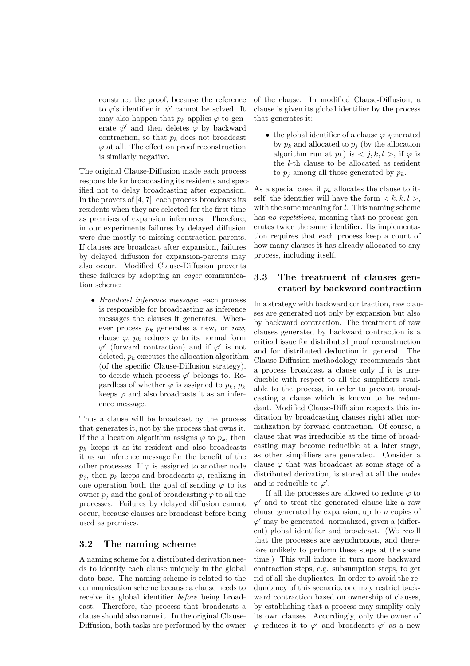construct the proof, because the reference to  $\varphi$ 's identifier in  $\psi'$  cannot be solved. It may also happen that  $p_k$  applies  $\varphi$  to generate  $\psi'$  and then deletes  $\varphi$  by backward contraction, so that  $p_k$  does not broadcast  $\varphi$  at all. The effect on proof reconstruction is similarly negative.

The original Clause-Diffusion made each process responsible for broadcasting its residents and specified not to delay broadcasting after expansion. In the provers of [4, 7], each process broadcasts its residents when they are selected for the first time as premises of expansion inferences. Therefore, in our experiments failures by delayed diffusion were due mostly to missing contraction-parents. If clauses are broadcast after expansion, failures by delayed diffusion for expansion-parents may also occur. Modified Clause-Diffusion prevents these failures by adopting an eager communication scheme:

• Broadcast inference message: each process is responsible for broadcasting as inference messages the clauses it generates. Whenever process  $p_k$  generates a new, or raw, clause  $\varphi$ ,  $p_k$  reduces  $\varphi$  to its normal form  $\varphi'$  (forward contraction) and if  $\varphi'$  is not deleted,  $p_k$  executes the allocation algorithm (of the specific Clause-Diffusion strategy), to decide which process  $\varphi'$  belongs to. Regardless of whether  $\varphi$  is assigned to  $p_k$ ,  $p_k$ keeps  $\varphi$  and also broadcasts it as an inference message.

Thus a clause will be broadcast by the process that generates it, not by the process that owns it. If the allocation algorithm assigns  $\varphi$  to  $p_k$ , then  $p_k$  keeps it as its resident and also broadcasts it as an inference message for the benefit of the other processes. If  $\varphi$  is assigned to another node  $p_j$ , then  $p_k$  keeps and broadcasts  $\varphi$ , realizing in one operation both the goal of sending  $\varphi$  to its owner  $p_i$  and the goal of broadcasting  $\varphi$  to all the processes. Failures by delayed diffusion cannot occur, because clauses are broadcast before being used as premises.

### 3.2 The naming scheme

A naming scheme for a distributed derivation needs to identify each clause uniquely in the global data base. The naming scheme is related to the communication scheme because a clause needs to receive its global identifier before being broadcast. Therefore, the process that broadcasts a clause should also name it. In the original Clause-Diffusion, both tasks are performed by the owner

of the clause. In modified Clause-Diffusion, a clause is given its global identifier by the process that generates it:

• the global identifier of a clause  $\varphi$  generated by  $p_k$  and allocated to  $p_i$  (by the allocation algorithm run at  $p_k$ ) is  $\langle j, k, l \rangle$ , if  $\varphi$  is the l-th clause to be allocated as resident to  $p_i$  among all those generated by  $p_k$ .

As a special case, if  $p_k$  allocates the clause to itself, the identifier will have the form  $\langle k, k, l \rangle$ , with the same meaning for  $l$ . This naming scheme has no repetitions, meaning that no process generates twice the same identifier. Its implementation requires that each process keep a count of how many clauses it has already allocated to any process, including itself.

## 3.3 The treatment of clauses generated by backward contraction

In a strategy with backward contraction, raw clauses are generated not only by expansion but also by backward contraction. The treatment of raw clauses generated by backward contraction is a critical issue for distributed proof reconstruction and for distributed deduction in general. The Clause-Diffusion methodology recommends that a process broadcast a clause only if it is irreducible with respect to all the simplifiers available to the process, in order to prevent broadcasting a clause which is known to be redundant. Modified Clause-Diffusion respects this indication by broadcasting clauses right after normalization by forward contraction. Of course, a clause that was irreducible at the time of broadcasting may become reducible at a later stage, as other simplifiers are generated. Consider a clause  $\varphi$  that was broadcast at some stage of a distributed derivation, is stored at all the nodes and is reducible to  $\varphi'$ .

If all the processes are allowed to reduce  $\varphi$  to  $\varphi'$  and to treat the generated clause like a raw clause generated by expansion, up to  $n$  copies of  $\varphi'$  may be generated, normalized, given a (different) global identifier and broadcast. (We recall that the processes are asynchronous, and therefore unlikely to perform these steps at the same time.) This will induce in turn more backward contraction steps, e.g. subsumption steps, to get rid of all the duplicates. In order to avoid the redundancy of this scenario, one may restrict backward contraction based on ownership of clauses, by establishing that a process may simplify only its own clauses. Accordingly, only the owner of  $\varphi$  reduces it to  $\varphi'$  and broadcasts  $\varphi'$  as a new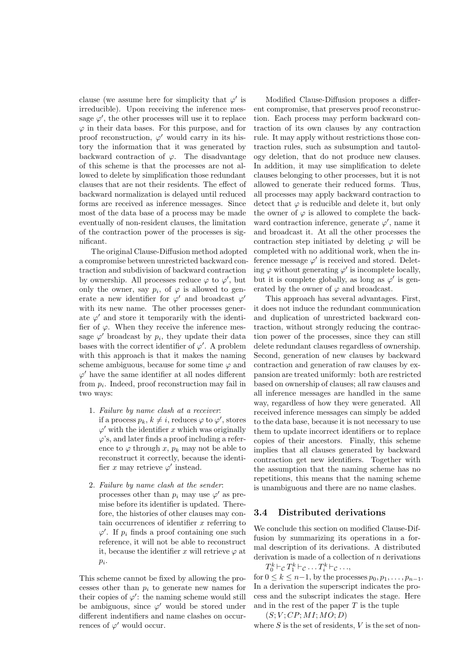clause (we assume here for simplicity that  $\varphi'$  is irreducible). Upon receiving the inference message  $\varphi'$ , the other processes will use it to replace  $\varphi$  in their data bases. For this purpose, and for proof reconstruction,  $\varphi'$  would carry in its history the information that it was generated by backward contraction of  $\varphi$ . The disadvantage of this scheme is that the processes are not allowed to delete by simplification those redundant clauses that are not their residents. The effect of backward normalization is delayed until reduced forms are received as inference messages. Since most of the data base of a process may be made eventually of non-resident clauses, the limitation of the contraction power of the processes is significant.

The original Clause-Diffusion method adopted a compromise between unrestricted backward contraction and subdivision of backward contraction by ownership. All processes reduce  $\varphi$  to  $\varphi'$ , but only the owner, say  $p_i$ , of  $\varphi$  is allowed to generate a new identifier for  $\varphi'$  and broadcast  $\varphi'$ with its new name. The other processes generate  $\varphi'$  and store it temporarily with the identifier of  $\varphi$ . When they receive the inference message  $\varphi'$  broadcast by  $p_i$ , they update their data bases with the correct identifier of  $\varphi'$ . A problem with this approach is that it makes the naming scheme ambiguous, because for some time  $\varphi$  and  $\varphi'$  have the same identifier at all nodes different from  $p_i$ . Indeed, proof reconstruction may fail in two ways:

- 1. Failure by name clash at a receiver: if a process  $p_k, k \neq i$ , reduces  $\varphi$  to  $\varphi'$ , stores  $\varphi'$  with the identifier x which was originally  $\varphi$ 's, and later finds a proof including a reference to  $\varphi$  through x,  $p_k$  may not be able to reconstruct it correctly, because the identifier x may retrieve  $\varphi'$  instead.
- 2. Failure by name clash at the sender: processes other than  $p_i$  may use  $\varphi'$  as premise before its identifier is updated. Therefore, the histories of other clauses may contain occurrences of identifier  $x$  referring to  $\varphi'$ . If  $p_i$  finds a proof containing one such reference, it will not be able to reconstruct it, because the identifier x will retrieve  $\varphi$  at  $p_i$ .

This scheme cannot be fixed by allowing the processes other than  $p_i$  to generate new names for their copies of  $\varphi'$ : the naming scheme would still be ambiguous, since  $\varphi'$  would be stored under different indentifiers and name clashes on occurrences of  $\varphi'$  would occur.

Modified Clause-Diffusion proposes a different compromise, that preserves proof reconstruction. Each process may perform backward contraction of its own clauses by any contraction rule. It may apply without restrictions those contraction rules, such as subsumption and tautology deletion, that do not produce new clauses. In addition, it may use simplification to delete clauses belonging to other processes, but it is not allowed to generate their reduced forms. Thus, all processes may apply backward contraction to detect that  $\varphi$  is reducible and delete it, but only the owner of  $\varphi$  is allowed to complete the backward contraction inference, generate  $\varphi'$ , name it and broadcast it. At all the other processes the contraction step initiated by deleting  $\varphi$  will be completed with no additional work, when the inference message  $\varphi'$  is received and stored. Deleting  $\varphi$  without generating  $\varphi'$  is incomplete locally, but it is complete globally, as long as  $\varphi'$  is generated by the owner of  $\varphi$  and broadcast.

This approach has several advantages. First, it does not induce the redundant communication and duplication of unrestricted backward contraction, without strongly reducing the contraction power of the processes, since they can still delete redundant clauses regardless of ownership. Second, generation of new clauses by backward contraction and generation of raw clauses by expansion are treated uniformly: both are restricted based on ownership of clauses; all raw clauses and all inference messages are handled in the same way, regardless of how they were generated. All received inference messages can simply be added to the data base, because it is not necessary to use them to update incorrect identifiers or to replace copies of their ancestors. Finally, this scheme implies that all clauses generated by backward contraction get new identifiers. Together with the assumption that the naming scheme has no repetitions, this means that the naming scheme is unambiguous and there are no name clashes.

## 3.4 Distributed derivations

We conclude this section on modified Clause-Diffusion by summarizing its operations in a formal description of its derivations. A distributed derivation is made of a collection of  $n$  derivations

 $T_0^k \vdash_{\mathcal{C}} T_1^k \vdash_{\mathcal{C}} \ldots T_i^k \vdash_{\mathcal{C}} \ldots,$ 

for  $0 \leq k \leq n-1$ , by the processes  $p_0, p_1, \ldots, p_{n-1}$ . In a derivation the superscript indicates the process and the subscript indicates the stage. Here and in the rest of the paper  $T$  is the tuple

 $(S; V; CP; MI; MO; D)$ 

where  $S$  is the set of residents,  $V$  is the set of non-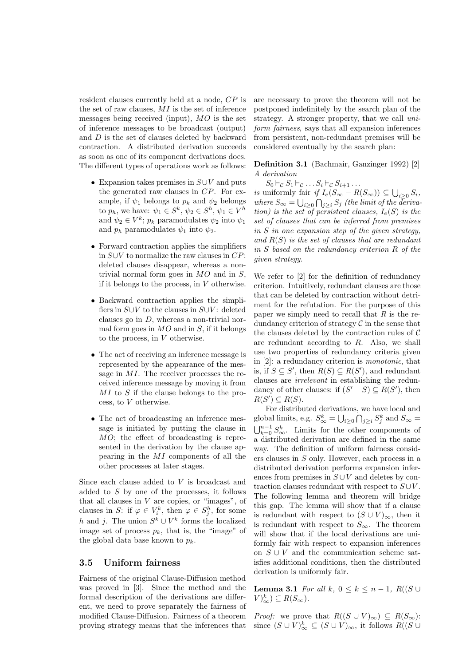resident clauses currently held at a node, CP is the set of raw clauses,  $MI$  is the set of inference messages being received (input), MO is the set of inference messages to be broadcast (output) and D is the set of clauses deleted by backward contraction. A distributed derivation succeeds as soon as one of its component derivations does. The different types of operations work as follows:

- Expansion takes premises in  $S \cup V$  and puts the generated raw clauses in CP. For example, if  $\psi_1$  belongs to  $p_k$  and  $\psi_2$  belongs to  $p_h$ , we have:  $\psi_1 \in S^k$ ,  $\psi_2 \in S^h$ ,  $\psi_1 \in V^h$ and  $\psi_2 \in V^k$ ;  $p_k$  paramodulates  $\psi_2$  into  $\psi_1$ and  $p_h$  paramodulates  $\psi_1$  into  $\psi_2$ .
- Forward contraction applies the simplifiers in S∪V to normalize the raw clauses in CP: deleted clauses disappear, whereas a nontrivial normal form goes in  $MO$  and in  $S$ , if it belongs to the process, in  $V$  otherwise.
- Backward contraction applies the simplifiers in  $S\cup V$  to the clauses in  $S\cup V$ : deleted clauses go in  $D$ , whereas a non-trivial normal form goes in  $MO$  and in  $S$ , if it belongs to the process, in V otherwise.
- The act of receiving an inference message is represented by the appearance of the message in MI. The receiver processes the received inference message by moving it from MI to S if the clause belongs to the process, to V otherwise.
- The act of broadcasting an inference message is initiated by putting the clause in MO; the effect of broadcasting is represented in the derivation by the clause appearing in the MI components of all the other processes at later stages.

Since each clause added to V is broadcast and added to S by one of the processes, it follows that all clauses in  $V$  are copies, or "images", of clauses in S: if  $\varphi \in V_i^k$ , then  $\varphi \in S_j^h$ , for some h and j. The union  $S^k \cup V^k$  forms the localized image set of process  $p_k$ , that is, the "image" of the global data base known to  $p_k$ .

#### 3.5 Uniform fairness

Fairness of the original Clause-Diffusion method was proved in [3]. Since the method and the formal description of the derivations are different, we need to prove separately the fairness of modified Clause-Diffusion. Fairness of a theorem proving strategy means that the inferences that

are necessary to prove the theorem will not be postponed indefinitely by the search plan of the strategy. A stronger property, that we call uniform fairness, says that all expansion inferences from persistent, non-redundant premises will be considered eventually by the search plan:

Definition 3.1 (Bachmair, Ganzinger 1992) [2] A derivation

 $S_0$   $\vdash$  c  $S_1$   $\vdash$  c  $\ldots$   $S_i$   $\vdash$  c  $S_{i+1}$   $\ldots$ 

is uniformly fair if  $I_e(S_{\infty} - R(S_{\infty})) \subseteq \bigcup_{i \geq 0} S_i$ , where  $S_{\infty} = \bigcup_{i \geq 0} \bigcap_{j \geq i} S_j$  (the limit of the derivation) is the set of persistent clauses,  $I_e(S)$  is the set of clauses that can be inferred from premises in  $S$  in one expansion step of the given strategy, and  $R(S)$  is the set of clauses that are redundant in S based on the redundancy criterion R of the given strategy.

We refer to [2] for the definition of redundancy criterion. Intuitively, redundant clauses are those that can be deleted by contraction without detriment for the refutation. For the purpose of this paper we simply need to recall that  $R$  is the redundancy criterion of strategy  $\mathcal C$  in the sense that the clauses deleted by the contraction rules of  $\mathcal C$ are redundant according to  $R$ . Also, we shall use two properties of redundancy criteria given in [2]: a redundancy criterion is monotonic, that is, if  $S \subseteq S'$ , then  $R(S) \subseteq R(S')$ , and redundant clauses are irrelevant in establishing the redundancy of other clauses: if  $(S' - S) \subseteq R(S')$ , then  $R(S') \subseteq R(S)$ .

For distributed derivations, we have local and global limits, e.g.  $S^k_{\infty} = \bigcup_{i \geq 0} \bigcap_{j \geq i} S^k_j$  and  $S_{\infty} =$  $\bigcup_{k=0}^{n-1} S_{\infty}^k$ . Limits for the other components of a distributed derivation are defined in the same way. The definition of uniform fairness considers clauses in S only. However, each process in a distributed derivation performs expansion inferences from premises in  $S \cup V$  and deletes by contraction clauses redundant with respect to  $S \cup V$ . The following lemma and theorem will bridge this gap. The lemma will show that if a clause is redundant with respect to  $(S \cup V)_{\infty}$ , then it is redundant with respect to  $S_{\infty}$ . The theorem will show that if the local derivations are uniformly fair with respect to expansion inferences on  $S \cup V$  and the communication scheme satisfies additional conditions, then the distributed derivation is uniformly fair.

**Lemma 3.1** For all k,  $0 \le k \le n - 1$ ,  $R((S \cup$  $V)_{\infty}^{k}$ )  $\subseteq R(S_{\infty})$ .

*Proof:* we prove that  $R((S \cup V)_{\infty}) \subseteq R(S_{\infty})$ : since  $(S \cup V)_{\infty}^{k} \subseteq (S \cup V)_{\infty}$ , it follows  $R((S \cup$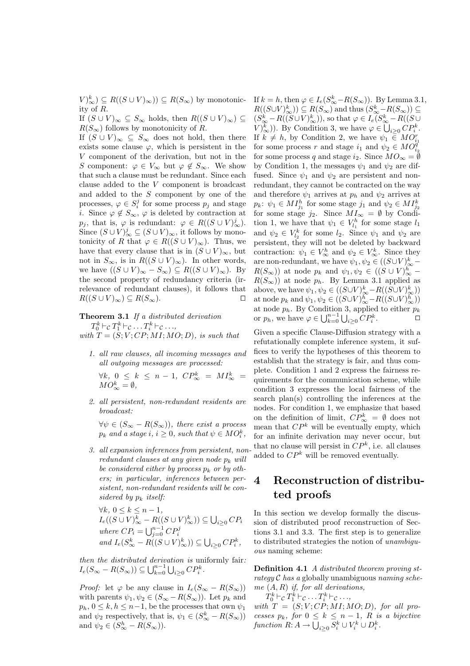$V_{\infty}^{k}$ )  $\subseteq R((S \cup V)_{\infty})$ )  $\subseteq R(S_{\infty})$  by monotonicity of R.

If  $(S \cup V)_{\infty} \subseteq S_{\infty}$  holds, then  $R((S \cup V)_{\infty}) \subseteq$  $R(S_{\infty})$  follows by monotonicity of R.

If  $(S \cup V)_{\infty} \subseteq S_{\infty}$  does not hold, then there exists some clause  $\varphi$ , which is persistent in the V component of the derivation, but not in the S component:  $\varphi \in V_\infty$  but  $\varphi \notin S_\infty$ . We show that such a clause must be redundant. Since each clause added to the V component is broadcast and added to the S component by one of the processes,  $\varphi \in S_i^j$  for some process  $p_j$  and stage *i*. Since  $\varphi \notin S_{\infty}$ ,  $\varphi$  is deleted by contraction at  $p_j$ , that is,  $\varphi$  is redundant:  $\varphi \in R((S \cup V)_{\infty}^j)$ . Since  $(S \cup V)_{\infty}^{j} \subseteq (S \cup V)_{\infty}$ , it follows by monotonicity of R that  $\varphi \in R((S \cup V)_{\infty})$ . Thus, we have that every clause that is in  $(S \cup V)_{\infty}$ , but not in  $S_{\infty}$ , is in  $R((S \cup V)_{\infty})$ . In other words, we have  $((S \cup V)_{\infty} - S_{\infty}) \subseteq R((S \cup V)_{\infty})$ . By the second property of redundancy criteria (irrelevance of redundant clauses), it follows that  $R((S \cup V)_{\infty}) \subseteq R(S_{\infty}).$ 

Theorem 3.1 If a distributed derivation

 $T_0^k \vdash_{\mathcal{C}} T_1^k \vdash_{\mathcal{C}} \ldots T_i^k \vdash_{\mathcal{C}} \ldots,$ 

with  $T = (S; V; CP; MI; MO; D)$ , is such that

1. all raw clauses, all incoming messages and all outgoing messages are processed:

 $\forall k, 0 \leq k \leq n-1, CP^k_{\infty} = MI^k_{\infty} =$  $MO_{\infty}^k = \emptyset,$ 

2. all persistent, non-redundant residents are broadcast:

 $\forall \psi \in (S_{\infty} - R(S_{\infty}))$ , there exist a process  $p_k$  and a stage  $i, i \geq 0$ , such that  $\psi \in MO_i^k$ ,

3. all expansion inferences from persistent, nonredundant clauses at any given node  $p_k$  will be considered either by process  $p_k$  or by others; in particular, inferences between persistent, non-redundant residents will be considered by  $p_k$  itself:

$$
\begin{array}{l} \forall k,\; 0\leq k\leq n-1,\\ I_e((S\cup V)^k_{\infty}-R((S\cup V)^k_{\infty}))\subseteq \bigcup_{i\geq 0} CP_i\\ \textit{where $CP_i=\bigcup_{j=0}^{n-1} CP^j_i$} \\ \textit{and $I_e(S^k_{\infty}-R((S\cup V)^k_{\infty}))\subseteq \bigcup_{i\geq 0} CP^k_i$,} \end{array}
$$

then the distributed derivation is uniformly fair:  $I_e(S_{\infty} - R(S_{\infty})) \subseteq \bigcup_{k=0}^{n-1} \bigcup_{i \geq 0} CP_i^k$ .

*Proof:* let  $\varphi$  be any clause in  $I_e(S_{\infty} - R(S_{\infty}))$ with parents  $\psi_1, \psi_2 \in (S_\infty - R(S_\infty))$ . Let  $p_k$  and  $p_h, 0 \leq k, h \leq n-1$ , be the processes that own  $\psi_1$ and  $\psi_2$  respectively, that is,  $\psi_1 \in (S^k_{\infty} - R(S_{\infty}))$ and  $\psi_2 \in (S^h_{\infty} - R(S_{\infty}))$ .

If  $k = h$ , then  $\varphi \in I_e(S^k_{\infty} - R(S_{\infty}))$ . By Lemma 3.1,  $R((S\cup V)_{\infty}^{k}))\subseteq R(S_{\infty})$  and thus  $(S_{\infty}^{k}-R(S_{\infty}))\subseteq$  $(S_{\infty}^k - R((S \cup V)_{\infty}^k))$ , so that  $\varphi \in I_e(S_{\infty}^k - R((S \cup$  $(V)_{\infty}^{k}$ )). By Condition 3, we have  $\varphi \in \bigcup_{i \geq 0} CP_{i}^{k}$ . If  $k \neq h$ , by Condition 2, we have  $\psi_1 \in MO_{i_1}^r$  for some process r and stage  $i_1$  and  $\psi_2 \in MO_{i_2}^r$ for some process q and stage  $i_2$ . Since  $MO_{\infty} = \bar{\emptyset}$ by Condition 1, the messages  $\psi_1$  and  $\psi_2$  are diffused. Since  $\psi_1$  and  $\psi_2$  are persistent and nonredundant, they cannot be contracted on the way and therefore  $\psi_1$  arrives at  $p_h$  and  $\psi_2$  arrives at  $p_k: \psi_1 \in MI_{j_1}^h$  for some stage  $j_1$  and  $\psi_2 \in MI_{j_2}^k$ for some stage  $j_2$ . Since  $MI_{\infty} = \emptyset$  by Condition 1, we have that  $\psi_1 \in V_{l_1}^h$  for some stage  $l_1$ and  $\psi_2 \in V_{l_2}^k$  for some  $l_2$ . Since  $\psi_1$  and  $\psi_2$  are persistent, they will not be deleted by backward contraction:  $\psi_1 \in V^h_{\infty}$  and  $\psi_2 \in V^k_{\infty}$ . Since they are non-redundant, we have  $\psi_1, \psi_2 \in ((S \cup V)_{\infty}^k$  –  $R(S_{\infty}))$  at node  $p_k$  and  $\psi_1, \psi_2 \in ((S \cup V)_{\infty}^h$  –  $R(S_{\infty})$  at node  $p_h$ . By Lemma 3.1 applied as above, we have  $\psi_1, \psi_2 \in ((S \cup V)_{\infty}^k - R((S \cup V)_{\infty}^k))$ at node  $p_k$  and  $\psi_1, \psi_2 \in ((S \cup V)_{\infty}^h - R((S \cup V)_{\infty}^h))$ at node  $p_h$ . By Condition 3, applied to either  $p_k$ or  $p_h$ , we have  $\varphi \in \bigcup_{k=0}^{n-1} \bigcup_{i\geq 0} CP_i^k$ .

Given a specific Clause-Diffusion strategy with a refutationally complete inference system, it suffices to verify the hypotheses of this theorem to establish that the strategy is fair, and thus complete. Condition 1 and 2 express the fairness requirements for the communication scheme, while condition 3 expresses the local fairness of the search plan(s) controlling the inferences at the nodes. For condition 1, we emphasize that based on the definition of limit,  $\mathbb{CP}_{\infty}^k = \emptyset$  does not mean that  $\mathbb{CP}^k$  will be eventually empty, which for an infinite derivation may never occur, but that no clause will persist in  $\mathbb{CP}^k$ , i.e. all clauses added to  $\mathbb{CP}^k$  will be removed eventually.

# 4 Reconstruction of distributed proofs

In this section we develop formally the discussion of distributed proof reconstruction of Sections 3.1 and 3.3. The first step is to generalize to distributed strategies the notion of unambiguous naming scheme:

Definition 4.1 A distributed theorem proving strategy  $\mathcal C$  has a globally unambiguous naming scheme  $(A, R)$  if, for all derivations,

 $T_0^k \vdash_{\mathcal{C}} T_1^k \vdash_{\mathcal{C}} \ldots T_i^k \vdash_{\mathcal{C}} \ldots,$ 

with  $T = (S; V; CP; MI; MO; D)$ , for all processes  $p_k$ , for  $0 \leq k \leq n-1$ , R is a bijective function  $R: A \to \bigcup_{i \geq 0} S_i^k \cup V_i^k \cup D_i^k$ .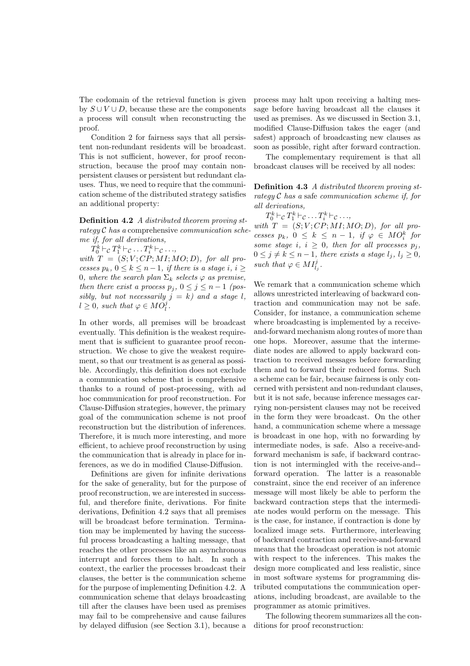The codomain of the retrieval function is given by  $S \cup V \cup D$ , because these are the components a process will consult when reconstructing the proof.

Condition 2 for fairness says that all persistent non-redundant residents will be broadcast. This is not sufficient, however, for proof reconstruction, because the proof may contain nonpersistent clauses or persistent but redundant clauses. Thus, we need to require that the communication scheme of the distributed strategy satisfies an additional property:

Definition 4.2 A distributed theorem proving strategy  $\mathcal C$  has a comprehensive *communication sche*me if, for all derivations,

 $T_0^k \vdash_{\mathcal{C}} T_1^k \vdash_{\mathcal{C}} \ldots T_i^k \vdash_{\mathcal{C}} \ldots,$ 

with  $T = (S; V; CP; MI; MO; D)$ , for all processes  $p_k$ ,  $0 \leq k \leq n-1$ , if there is a stage i,  $i \geq$ 0, where the search plan  $\Sigma_k$  selects  $\varphi$  as premise, then there exist a process  $p_j$ ,  $0 \leq j \leq n-1$  (possibly, but not necessarily  $j = k$ ) and a stage l,  $l \geq 0$ , such that  $\varphi \in MO_l^j$ .

In other words, all premises will be broadcast eventually. This definition is the weakest requirement that is sufficient to guarantee proof reconstruction. We chose to give the weakest requirement, so that our treatment is as general as possible. Accordingly, this definition does not exclude a communication scheme that is comprehensive thanks to a round of post-processing, with ad hoc communication for proof reconstruction. For Clause-Diffusion strategies, however, the primary goal of the communication scheme is not proof reconstruction but the distribution of inferences. Therefore, it is much more interesting, and more efficient, to achieve proof reconstruction by using the communication that is already in place for inferences, as we do in modified Clause-Diffusion.

Definitions are given for infinite derivations for the sake of generality, but for the purpose of proof reconstruction, we are interested in successful, and therefore finite, derivations. For finite derivations, Definition 4.2 says that all premises will be broadcast before termination. Termination may be implemented by having the successful process broadcasting a halting message, that reaches the other processes like an asynchronous interrupt and forces them to halt. In such a context, the earlier the processes broadcast their clauses, the better is the communication scheme for the purpose of implementing Definition 4.2. A communication scheme that delays broadcasting till after the clauses have been used as premises may fail to be comprehensive and cause failures by delayed diffusion (see Section 3.1), because a

process may halt upon receiving a halting message before having broadcast all the clauses it used as premises. As we discussed in Section 3.1, modified Clause-Diffusion takes the eager (and safest) approach of broadcasting new clauses as soon as possible, right after forward contraction.

The complementary requirement is that all broadcast clauses will be received by all nodes:

Definition 4.3 A distributed theorem proving strategy  $C$  has a safe communication scheme if, for all derivations,

$$
T_0^k \vdash_{\mathcal{C}} T_1^k \vdash_{\mathcal{C}} \ldots T_i^k \vdash_{\mathcal{C}} \ldots,
$$

with  $T = (S; V; CP; MI; MO; D)$ , for all processes  $p_k$ ,  $0 \leq k \leq n-1$ , if  $\varphi \in MO_i^k$  for some stage i,  $i \geq 0$ , then for all processes  $p_j$ ,  $0 \leq j \neq k \leq n-1$ , there exists a stage  $l_j, l_j \geq 0$ , such that  $\varphi \in MI_{l_j}^j$ .

We remark that a communication scheme which allows unrestricted interleaving of backward contraction and communication may not be safe. Consider, for instance, a communication scheme where broadcasting is implemented by a receiveand-forward mechanism along routes of more than one hops. Moreover, assume that the intermediate nodes are allowed to apply backward contraction to received messages before forwarding them and to forward their reduced forms. Such a scheme can be fair, because fairness is only concerned with persistent and non-redundant clauses, but it is not safe, because inference messages carrying non-persistent clauses may not be received in the form they were broadcast. On the other hand, a communication scheme where a message is broadcast in one hop, with no forwarding by intermediate nodes, is safe. Also a receive-andforward mechanism is safe, if backward contraction is not intermingled with the receive-and- forward operation. The latter is a reasonable constraint, since the end receiver of an inference message will most likely be able to perform the backward contraction steps that the intermediate nodes would perform on the message. This is the case, for instance, if contraction is done by localized image sets. Furthermore, interleaving of backward contraction and receive-and-forward means that the broadcast operation is not atomic with respect to the inferences. This makes the design more complicated and less realistic, since in most software systems for programming distributed computations the communication operations, including broadcast, are available to the programmer as atomic primitives.

The following theorem summarizes all the conditions for proof reconstruction: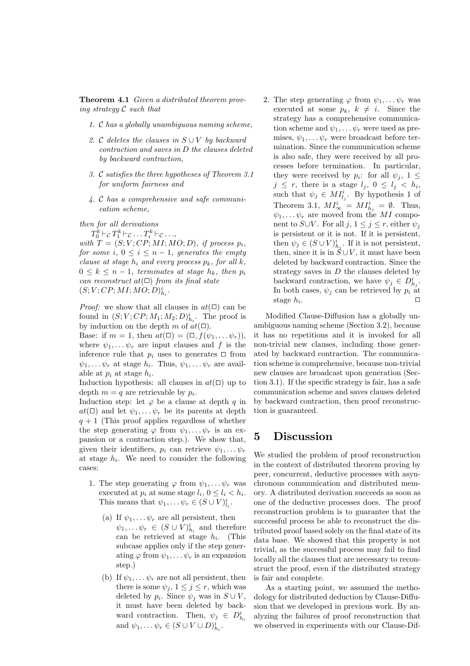Theorem 4.1 Given a distributed theorem proving strategy C such that

- 1. C has a globally unambiguous naming scheme,
- 2. C deletes the clauses in  $S \cup V$  by backward contraction and saves in D the clauses deleted by backward contraction,
- 3. C satisfies the three hypotheses of Theorem 3.1 for uniform fairness and
- 4. C has a comprehensive and safe communication scheme,

then for all derivations

 $T_0^k \vdash_{\mathcal{C}} T_1^k \vdash_{\mathcal{C}} \ldots T_i^k \vdash_{\mathcal{C}} \ldots,$ 

with  $T = (S; V; CP; MI; MO; D)$ , if process  $p_i$ , for some i,  $0 \leq i \leq n-1$ , generates the empty clause at stage  $h_i$  and every process  $p_k$ , for all k,  $0 \leq k \leq n-1$ , terminates at stage  $h_k$ , then  $p_i$ can reconstruct  $at(\square)$  from its final state  $(S; V; CP; MI; MO; D)_{h_i}^i.$ 

*Proof:* we show that all clauses in  $at(\Box)$  can be found in  $(S; V; CP; M_1; M_2; D)_{h_i}^i$ . The proof is by induction on the depth m of  $at(\Box)$ .

Base: if  $m = 1$ , then  $at(\square) = (\square, f(\psi_1, \dots \psi_r)),$ where  $\psi_1, \ldots, \psi_r$  are input clauses and f is the inference rule that  $p_i$  uses to generates  $\Box$  from  $\psi_1, \ldots \psi_r$  at stage  $h_i$ . Thus,  $\psi_1, \ldots \psi_r$  are available at  $p_i$  at stage  $h_i$ .

Induction hypothesis: all clauses in  $at(\Box)$  up to depth  $m = q$  are retrievable by  $p_i$ .

Induction step: let  $\varphi$  be a clause at depth q in  $at(\Box)$  and let  $\psi_1, \ldots \psi_r$  be its parents at depth  $q + 1$  (This proof applies regardless of whether the step generating  $\varphi$  from  $\psi_1, \ldots \psi_r$  is an expansion or a contraction step.). We show that, given their identifiers,  $p_i$  can retrieve  $\psi_1, \ldots \psi_r$ at stage  $h_i$ . We need to consider the following cases:

- 1. The step generating  $\varphi$  from  $\psi_1, \dots \psi_r$  was executed at  $p_i$  at some stage  $l_i$ ,  $0 \leq l_i < h_i$ . This means that  $\psi_1, \dots \psi_r \in (S \cup V)_{i_i}^i$ .
	- (a) If  $\psi_1, \ldots \psi_r$  are all persistent, then  $\psi_1, \ldots \psi_r \in (S \cup V)_{h_i}^i$  and therefore can be retrieved at stage  $h_i$ . (This subcase applies only if the step generating  $\varphi$  from  $\psi_1, \ldots \psi_r$  is an expansion step.)
	- (b) If  $\psi_1, \ldots, \psi_r$  are not all persistent, then there is some  $\psi_j$ ,  $1 \leq j \leq r$ , which was deleted by  $p_i$ . Since  $\psi_j$  was in  $S \cup V$ , it must have been deleted by backward contraction. Then,  $\psi_j \in D_{h_i}^i$ and  $\psi_1, \ldots \psi_r \in (S \cup V \cup D)_{h_i}^i$ .

2. The step generating  $\varphi$  from  $\psi_1, \dots \psi_r$  was executed at some  $p_k, k \neq i$ . Since the strategy has a comprehensive communication scheme and  $\psi_1, \ldots \psi_r$  were used as premises,  $\psi_1, \ldots \psi_r$  were broadcast before termination. Since the communication scheme is also safe, they were received by all processes before termination. In particular, they were received by  $p_i$ : for all  $\psi_j$ ,  $1 \leq$  $j \leq r$ , there is a stage  $l_j$ ,  $0 \leq l_j < h_i$ , such that  $\psi_j \in MI_{l_j}^i$ . By hypothesis 1 of Theorem 3.1,  $MI^i_{\infty} = MI^i_{h_j} = \emptyset$ . Thus,  $\psi_1, \ldots \psi_r$  are moved from the MI component to  $S\cup V$ . For all  $j, 1 \leq j \leq r$ , either  $\psi_j$ is persistent or it is not. If it is persistent, then  $\psi_j \in (S \cup V)_{h_j}^i$ . If it is not persistent, then, since it is in  $S \cup V$ , it must have been deleted by backward contraction. Since the strategy saves in  $D$  the clauses deleted by backward contraction, we have  $\psi_j \in D^i_{h_j}$ . In both cases,  $\psi_i$  can be retrieved by  $p_i$  at stage  $h_i$ . .  $\Box$ 

Modified Clause-Diffusion has a globally unambiguous naming scheme (Section 3.2), because it has no repetitions and it is invoked for all non-trivial new clauses, including those generated by backward contraction. The communication scheme is comprehensive, because non-trivial new clauses are broadcast upon generation (Section 3.1). If the specific strategy is fair, has a safe communication scheme and saves clauses deleted by backward contraction, then proof reconstruction is guaranteed.

## 5 Discussion

We studied the problem of proof reconstruction in the context of distributed theorem proving by peer, concurrent, deductive processes with asynchronous communication and distributed memory. A distributed derivation succeeds as soon as one of the deductive processes does. The proof reconstruction problem is to guarantee that the successful process be able to reconstruct the distributed proof based solely on the final state of its data base. We showed that this property is not trivial, as the successful process may fail to find locally all the clauses that are necessary to reconstruct the proof, even if the distributed strategy is fair and complete.

As a starting point, we assumed the methodology for distributed deduction by Clause-Diffusion that we developed in previous work. By analyzing the failures of proof reconstruction that we observed in experiments with our Clause-Dif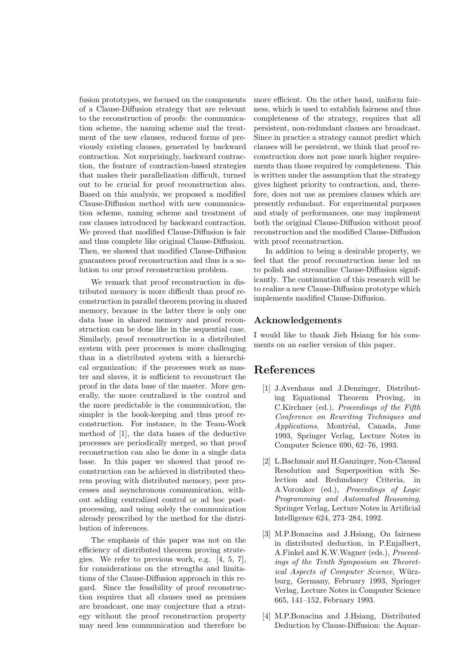fusion prototypes, we focused on the components of a Clause-Diffusion strategy that are relevant to the reconstruction of proofs: the communication scheme, the naming scheme and the treatment of the new clauses, reduced forms of previously existing clauses, generated by backward contraction. Not surprisingly, backward contraction, the feature of contraction-based strategies that makes their parallelization difficult, turned out to be crucial for proof reconstruction also. Based on this analysis, we proposed a modified Clause-Diffusion method with new communication scheme, naming scheme and treatment of raw clauses introduced by backward contraction. We proved that modified Clause-Diffusion is fair and thus complete like original Clause-Diffusion. Then, we showed that modified Clause-Diffusion guarantees proof reconstruction and thus is a solution to our proof reconstruction problem.

We remark that proof reconstruction in distributed memory is more difficult than proof reconstruction in parallel theorem proving in shared memory, because in the latter there is only one data base in shared memory and proof reconstruction can be done like in the sequential case. Similarly, proof reconstruction in a distributed system with peer processes is more challenging than in a distributed system with a hierarchical organization: if the processes work as master and slaves, it is sufficient to reconstruct the proof in the data base of the master. More generally, the more centralized is the control and the more predictable is the communication, the simpler is the book-keeping and thus proof reconstruction. For instance, in the Team-Work method of [1], the data bases of the deductive processes are periodically merged, so that proof reconstruction can also be done in a single data base. In this paper we showed that proof reconstruction can be achieved in distributed theorem proving with distributed memory, peer processes and asynchronous communication, without adding centralized control or ad hoc postprocessing, and using solely the communication already prescribed by the method for the distribution of inferences.

The emphasis of this paper was not on the efficiency of distributed theorem proving strategies. We refer to previous work, e.g. [4, 5, 7], for considerations on the strengths and limitations of the Clause-Diffusion approach in this regard. Since the feasibility of proof reconstruction requires that all clauses used as premises are broadcast, one may conjecture that a strategy without the proof reconstruction property may need less communication and therefore be

more efficient. On the other hand, uniform fairness, which is used to establish fairness and thus completeness of the strategy, requires that all persistent, non-redundant clauses are broadcast. Since in practice a strategy cannot predict which clauses will be persistent, we think that proof reconstruction does not pose much higher requirements than those required by completeness. This is written under the assumption that the strategy gives highest priority to contraction, and, therefore, does not use as premises clauses which are presently redundant. For experimental purposes and study of performances, one may implement both the original Clause-Diffusion without proof reconstruction and the modified Clause-Diffusion with proof reconstruction.

In addition to being a desirable property, we feel that the proof reconstruction issue led us to polish and streamline Clause-Diffusion significantly. The continuation of this research will be to realize a new Clause-Diffusion prototype which implements modified Clause-Diffusion.

## Acknowledgements

I would like to thank Jieh Hsiang for his comments on an earlier version of this paper.

## References

- [1] J.Avenhaus and J.Denzinger, Distributing Equational Theorem Proving, in C.Kirchner (ed.), Proceedings of the Fifth Conference on Rewriting Techniques and Applications, Montréal, Canada, June 1993, Springer Verlag, Lecture Notes in Computer Science 690, 62–76, 1993.
- [2] L.Bachmair and H.Ganzinger, Non-Clausal Resolution and Superposition with Selection and Redundancy Criteria, in A.Voronkov (ed.), Proceedings of Logic Programming and Automated Reasoning, Springer Verlag, Lecture Notes in Artificial Intelligence 624, 273–284, 1992.
- [3] M.P.Bonacina and J.Hsiang, On fairness in distributed deduction, in P.Enjalbert, A.Finkel and K.W.Wagner (eds.), Proceedings of the Tenth Symposium on Theoretical Aspects of Computer Science, Würzburg, Germany, February 1993, Springer Verlag, Lecture Notes in Computer Science 665, 141–152, February 1993.
- [4] M.P.Bonacina and J.Hsiang, Distributed Deduction by Clause-Diffusion: the Aquar-